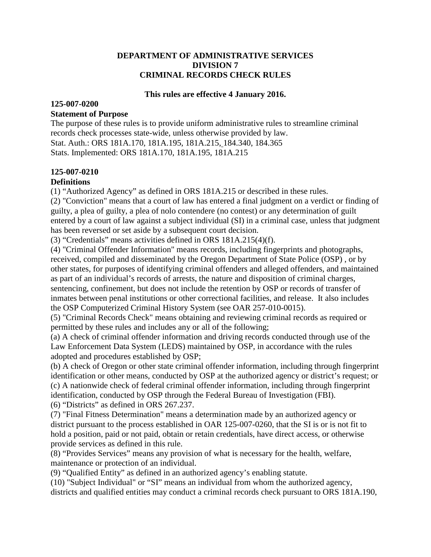#### **DEPARTMENT OF ADMINISTRATIVE SERVICES DIVISION 7 CRIMINAL RECORDS CHECK RULES**

#### **This rules are effective 4 January 2016.**

# **125-007-0200**

#### **Statement of Purpose**

The purpose of these rules is to provide uniform administrative rules to streamline criminal records check processes state-wide, unless otherwise provided by law. Stat. Auth.: ORS 181A.170, 181A.195, 181A.215, 184.340, 184.365 Stats. Implemented: ORS 181A.170, 181A.195, 181A.215

## **125-007-0210**

#### **Definitions**

(1) "Authorized Agency" as defined in ORS 181A.215 or described in these rules.

(2) "Conviction" means that a court of law has entered a final judgment on a verdict or finding of guilty, a plea of guilty, a plea of nolo contendere (no contest) or any determination of guilt entered by a court of law against a subject individual (SI) in a criminal case, unless that judgment has been reversed or set aside by a subsequent court decision.

(3) "Credentials" means activities defined in ORS 181A.215(4)(f).

(4) "Criminal Offender Information" means records, including fingerprints and photographs, received, compiled and disseminated by the Oregon Department of State Police (OSP) , or by other states, for purposes of identifying criminal offenders and alleged offenders, and maintained as part of an individual's records of arrests, the nature and disposition of criminal charges, sentencing, confinement, but does not include the retention by OSP or records of transfer of inmates between penal institutions or other correctional facilities, and release. It also includes the OSP Computerized Criminal History System (see OAR 257-010-0015).

(5) "Criminal Records Check" means obtaining and reviewing criminal records as required or permitted by these rules and includes any or all of the following;

(a) A check of criminal offender information and driving records conducted through use of the Law Enforcement Data System (LEDS) maintained by OSP, in accordance with the rules adopted and procedures established by OSP;

(b) A check of Oregon or other state criminal offender information, including through fingerprint identification or other means, conducted by OSP at the authorized agency or district's request; or (c) A nationwide check of federal criminal offender information, including through fingerprint identification, conducted by OSP through the Federal Bureau of Investigation (FBI). (6) "Districts" as defined in ORS 267.237.

(7) "Final Fitness Determination" means a determination made by an authorized agency or district pursuant to the process established in OAR 125-007-0260, that the SI is or is not fit to hold a position, paid or not paid, obtain or retain credentials, have direct access, or otherwise provide services as defined in this rule.

(8) "Provides Services" means any provision of what is necessary for the health, welfare, maintenance or protection of an individual.

(9) "Qualified Entity" as defined in an authorized agency's enabling statute.

(10) "Subject Individual" or "SI" means an individual from whom the authorized agency, districts and qualified entities may conduct a criminal records check pursuant to ORS 181A.190,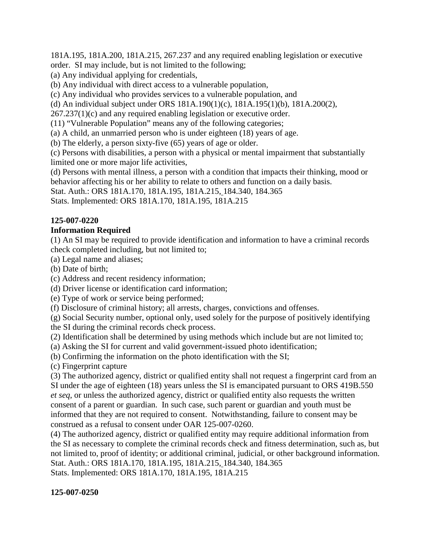181A.195, 181A.200, 181A.215, 267.237 and any required enabling legislation or executive order. SI may include, but is not limited to the following;

(a) Any individual applying for credentials,

(b) Any individual with direct access to a vulnerable population,

(c) Any individual who provides services to a vulnerable population, and

(d) An individual subject under ORS 181A.190(1)(c), 181A.195(1)(b), 181A.200(2),

267.237(1)(c) and any required enabling legislation or executive order.

(11) "Vulnerable Population" means any of the following categories;

(a) A child, an unmarried person who is under eighteen (18) years of age.

(b) The elderly, a person sixty-five (65) years of age or older.

(c) Persons with disabilities, a person with a physical or mental impairment that substantially limited one or more major life activities,

(d) Persons with mental illness, a person with a condition that impacts their thinking, mood or behavior affecting his or her ability to relate to others and function on a daily basis.

Stat. Auth.: ORS 181A.170, 181A.195, 181A.215, 184.340, 184.365

Stats. Implemented: ORS 181A.170, 181A.195, 181A.215

## **125-007-0220**

### **Information Required**

(1) An SI may be required to provide identification and information to have a criminal records check completed including, but not limited to;

(a) Legal name and aliases;

(b) Date of birth;

(c) Address and recent residency information;

(d) Driver license or identification card information;

(e) Type of work or service being performed;

(f) Disclosure of criminal history; all arrests, charges, convictions and offenses.

(g) Social Security number, optional only, used solely for the purpose of positively identifying the SI during the criminal records check process.

(2) Identification shall be determined by using methods which include but are not limited to;

(a) Asking the SI for current and valid government-issued photo identification;

(b) Confirming the information on the photo identification with the SI;

(c) Fingerprint capture

(3) The authorized agency, district or qualified entity shall not request a fingerprint card from an SI under the age of eighteen (18) years unless the SI is emancipated pursuant to ORS 419B.550 *et seq*, or unless the authorized agency, district or qualified entity also requests the written consent of a parent or guardian. In such case, such parent or guardian and youth must be informed that they are not required to consent. Notwithstanding, failure to consent may be construed as a refusal to consent under OAR 125-007-0260.

(4) The authorized agency, district or qualified entity may require additional information from the SI as necessary to complete the criminal records check and fitness determination, such as, but not limited to, proof of identity; or additional criminal, judicial, or other background information. Stat. Auth.: ORS 181A.170, 181A.195, 181A.215, 184.340, 184.365 Stats. Implemented: ORS 181A.170, 181A.195, 181A.215

### **125-007-0250**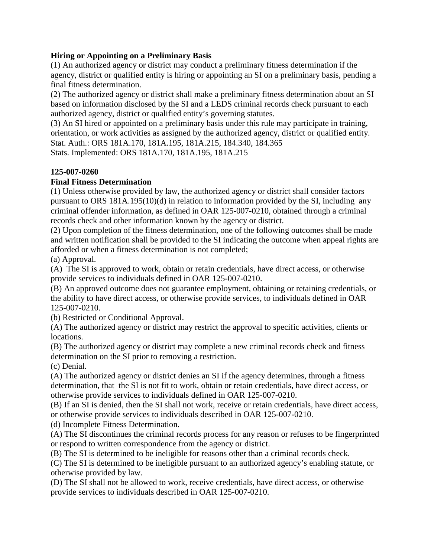#### **Hiring or Appointing on a Preliminary Basis**

(1) An authorized agency or district may conduct a preliminary fitness determination if the agency, district or qualified entity is hiring or appointing an SI on a preliminary basis, pending a final fitness determination.

(2) The authorized agency or district shall make a preliminary fitness determination about an SI based on information disclosed by the SI and a LEDS criminal records check pursuant to each authorized agency, district or qualified entity's governing statutes.

(3) An SI hired or appointed on a preliminary basis under this rule may participate in training, orientation, or work activities as assigned by the authorized agency, district or qualified entity. Stat. Auth.: ORS 181A.170, 181A.195, 181A.215, 184.340, 184.365 Stats. Implemented: ORS 181A.170, 181A.195, 181A.215

### **125-007-0260**

### **Final Fitness Determination**

(1) Unless otherwise provided by law, the authorized agency or district shall consider factors pursuant to ORS 181A.195(10)(d) in relation to information provided by the SI, including any criminal offender information, as defined in OAR 125-007-0210, obtained through a criminal records check and other information known by the agency or district.

(2) Upon completion of the fitness determination, one of the following outcomes shall be made and written notification shall be provided to the SI indicating the outcome when appeal rights are afforded or when a fitness determination is not completed;

(a) Approval.

(A) The SI is approved to work, obtain or retain credentials, have direct access, or otherwise provide services to individuals defined in OAR 125-007-0210.

(B) An approved outcome does not guarantee employment, obtaining or retaining credentials, or the ability to have direct access, or otherwise provide services, to individuals defined in OAR 125-007-0210.

(b) Restricted or Conditional Approval.

(A) The authorized agency or district may restrict the approval to specific activities, clients or locations.

(B) The authorized agency or district may complete a new criminal records check and fitness determination on the SI prior to removing a restriction.

(c) Denial.

(A) The authorized agency or district denies an SI if the agency determines, through a fitness determination, that the SI is not fit to work, obtain or retain credentials, have direct access, or otherwise provide services to individuals defined in OAR 125-007-0210.

(B) If an SI is denied, then the SI shall not work, receive or retain credentials, have direct access, or otherwise provide services to individuals described in OAR 125-007-0210.

(d) Incomplete Fitness Determination.

(A) The SI discontinues the criminal records process for any reason or refuses to be fingerprinted or respond to written correspondence from the agency or district.

(B) The SI is determined to be ineligible for reasons other than a criminal records check.

(C) The SI is determined to be ineligible pursuant to an authorized agency's enabling statute, or otherwise provided by law.

(D) The SI shall not be allowed to work, receive credentials, have direct access, or otherwise provide services to individuals described in OAR 125-007-0210.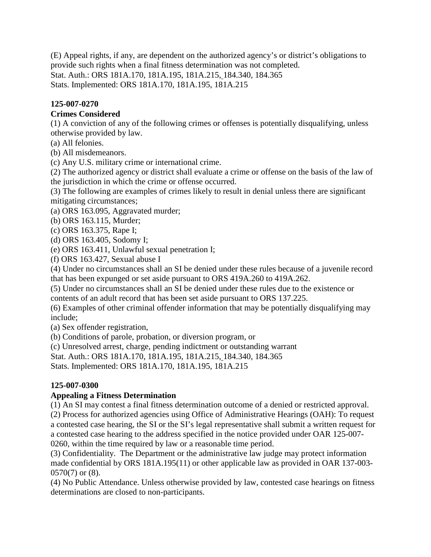(E) Appeal rights, if any, are dependent on the authorized agency's or district's obligations to provide such rights when a final fitness determination was not completed. Stat. Auth.: ORS 181A.170, 181A.195, 181A.215, 184.340, 184.365 Stats. Implemented: ORS 181A.170, 181A.195, 181A.215

## **125-007-0270**

## **Crimes Considered**

(1) A conviction of any of the following crimes or offenses is potentially disqualifying, unless otherwise provided by law.

(a) All felonies.

(b) All misdemeanors.

(c) Any U.S. military crime or international crime.

(2) The authorized agency or district shall evaluate a crime or offense on the basis of the law of the jurisdiction in which the crime or offense occurred.

(3) The following are examples of crimes likely to result in denial unless there are significant mitigating circumstances;

(a) ORS 163.095, Aggravated murder;

(b) ORS 163.115, Murder;

(c) ORS 163.375, Rape I;

(d) ORS 163.405, Sodomy I;

(e) ORS 163.411, Unlawful sexual penetration I;

(f) ORS 163.427, Sexual abuse I

(4) Under no circumstances shall an SI be denied under these rules because of a juvenile record that has been expunged or set aside pursuant to ORS 419A.260 to 419A.262.

(5) Under no circumstances shall an SI be denied under these rules due to the existence or contents of an adult record that has been set aside pursuant to ORS 137.225.

(6) Examples of other criminal offender information that may be potentially disqualifying may include;

(a) Sex offender registration,

(b) Conditions of parole, probation, or diversion program, or

(c) Unresolved arrest, charge, pending indictment or outstanding warrant

Stat. Auth.: ORS 181A.170, 181A.195, 181A.215, 184.340, 184.365

Stats. Implemented: ORS 181A.170, 181A.195, 181A.215

## **125-007-0300**

## **Appealing a Fitness Determination**

(1) An SI may contest a final fitness determination outcome of a denied or restricted approval.

(2) Process for authorized agencies using Office of Administrative Hearings (OAH): To request a contested case hearing, the SI or the SI's legal representative shall submit a written request for a contested case hearing to the address specified in the notice provided under OAR 125-007- 0260, within the time required by law or a reasonable time period.

(3) Confidentiality. The Department or the administrative law judge may protect information made confidential by ORS 181A.195(11) or other applicable law as provided in OAR 137-003- 0570(7) or (8).

(4) No Public Attendance. Unless otherwise provided by law, contested case hearings on fitness determinations are closed to non-participants.